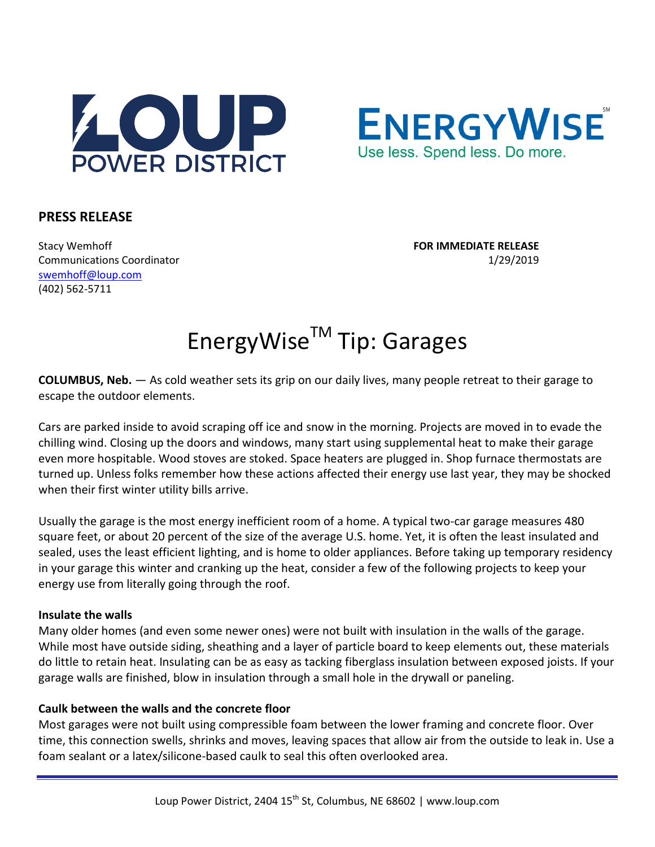



# **PRESS RELEASE**

Stacy Wemhoff **FOR IMMEDIATE RELEASE** Communications Coordinator 1/29/2019 [swemhoff@loup.com](mailto:swemhoff@loup.com)  (402) 562-5711

# EnergyWise™ Tip: Garages

**COLUMBUS, Neb.** — As cold weather sets its grip on our daily lives, many people retreat to their garage to escape the outdoor elements.

Cars are parked inside to avoid scraping off ice and snow in the morning. Projects are moved in to evade the chilling wind. Closing up the doors and windows, many start using supplemental heat to make their garage even more hospitable. Wood stoves are stoked. Space heaters are plugged in. Shop furnace thermostats are turned up. Unless folks remember how these actions affected their energy use last year, they may be shocked when their first winter utility bills arrive.

Usually the garage is the most energy inefficient room of a home. A typical two-car garage measures 480 square feet, or about 20 percent of the size of the average U.S. home. Yet, it is often the least insulated and sealed, uses the least efficient lighting, and is home to older appliances. Before taking up temporary residency in your garage this winter and cranking up the heat, consider a few of the following projects to keep your energy use from literally going through the roof.

## **Insulate the walls**

Many older homes (and even some newer ones) were not built with insulation in the walls of the garage. While most have outside siding, sheathing and a layer of particle board to keep elements out, these materials do little to retain heat. Insulating can be as easy as tacking fiberglass insulation between exposed joists. If your garage walls are finished, blow in insulation through a small hole in the drywall or paneling.

## **Caulk between the walls and the concrete floor**

Most garages were not built using compressible foam between the lower framing and concrete floor. Over time, this connection swells, shrinks and moves, leaving spaces that allow air from the outside to leak in. Use a foam sealant or a latex/silicone-based caulk to seal this often overlooked area.